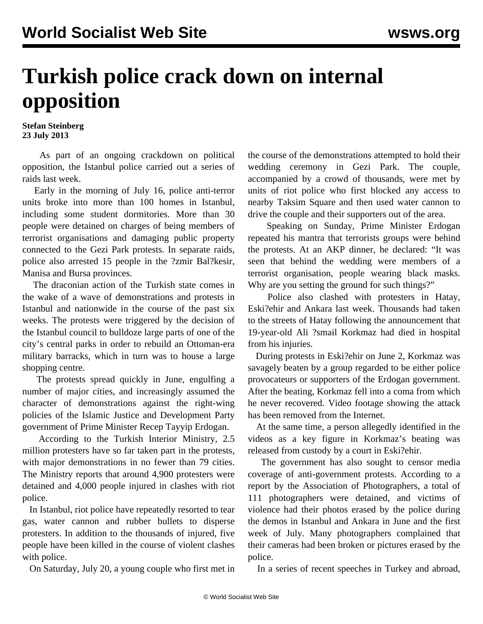## **Turkish police crack down on internal opposition**

## **Stefan Steinberg 23 July 2013**

 As part of an ongoing crackdown on political opposition, the Istanbul police carried out a series of raids last week.

 Early in the morning of July 16, police anti-terror units broke into more than 100 homes in Istanbul, including some student dormitories. More than 30 people were detained on charges of being members of terrorist organisations and damaging public property connected to the Gezi Park protests. In separate raids, police also arrested 15 people in the ?zmir Bal?kesir, Manisa and Bursa provinces.

 The draconian action of the Turkish state comes in the wake of a wave of demonstrations and protests in Istanbul and nationwide in the course of the past six weeks. The protests were triggered by the decision of the Istanbul council to bulldoze large parts of one of the city's central parks in order to rebuild an Ottoman-era military barracks, which in turn was to house a large shopping centre.

 The protests spread quickly in June, engulfing a number of major cities, and increasingly assumed the character of demonstrations against the right-wing policies of the Islamic Justice and Development Party government of Prime Minister Recep Tayyip Erdogan.

 According to the Turkish Interior Ministry, 2.5 million protesters have so far taken part in the protests, with major demonstrations in no fewer than 79 cities. The Ministry reports that around 4,900 protesters were detained and 4,000 people injured in clashes with riot police.

 In Istanbul, riot police have repeatedly resorted to tear gas, water cannon and rubber bullets to disperse protesters. In addition to the thousands of injured, five people have been killed in the course of violent clashes with police.

On Saturday, July 20, a young couple who first met in

the course of the demonstrations attempted to hold their wedding ceremony in Gezi Park. The couple, accompanied by a crowd of thousands, were met by units of riot police who first blocked any access to nearby Taksim Square and then used water cannon to drive the couple and their supporters out of the area.

 Speaking on Sunday, Prime Minister Erdogan repeated his mantra that terrorists groups were behind the protests. At an AKP dinner, he declared: "It was seen that behind the wedding were members of a terrorist organisation, people wearing black masks. Why are you setting the ground for such things?"

 Police also clashed with protesters in Hatay, Eski?ehir and Ankara last week. Thousands had taken to the streets of Hatay following the announcement that 19-year-old Ali ?smail Korkmaz had died in hospital from his injuries.

 During protests in Eski?ehir on June 2, Korkmaz was savagely beaten by a group regarded to be either police provocateurs or supporters of the Erdogan government. After the beating, Korkmaz fell into a coma from which he never recovered. Video footage showing the attack has been removed from the Internet.

 At the same time, a person allegedly identified in the videos as a key figure in Korkmaz's beating was released from custody by a court in Eski?ehir.

 The government has also sought to censor media coverage of anti-government protests. According to a report by the Association of Photographers, a total of 111 photographers were detained, and victims of violence had their photos erased by the police during the demos in Istanbul and Ankara in June and the first week of July. Many photographers complained that their cameras had been broken or pictures erased by the police.

In a series of recent speeches in Turkey and abroad,